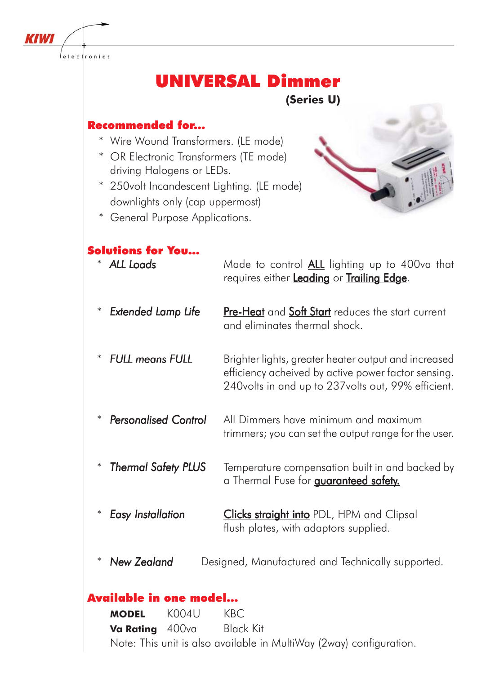

# UNIVERSAL Dimmer

**(Series U)**

# Recommended for...

- \* Wire Wound Transformers. (LE mode)
- \* OR Electronic Transformers (TE mode) driving Halogens or LEDs.
- \* 250volt Incandescent Lighting. (LE mode) downlights only (cap uppermost)
- \* General Purpose Applications.



# Solutions for You...

| <b>ALL Loads</b>                 | Made to control ALL lighting up to 400va that                                                                                                                     |
|----------------------------------|-------------------------------------------------------------------------------------------------------------------------------------------------------------------|
| $\ast$                           | requires either Leading or Trailing Edge.                                                                                                                         |
| $\ast$                           | <b>Pre-Heat</b> and <b>Soft Start</b> reduces the start current                                                                                                   |
| <b>Extended Lamp Life</b>        | and eliminates thermal shock.                                                                                                                                     |
| <b>FULL means FULL</b><br>$\ast$ | Brighter lights, greater heater output and increased<br>efficiency acheived by active power factor sensing.<br>240volts in and up to 237volts out, 99% efficient. |
| <b>Personalised Control</b>      | All Dimmers have minimum and maximum                                                                                                                              |
| $\ast$                           | trimmers; you can set the output range for the user.                                                                                                              |
| $\ast$                           | Temperature compensation built in and backed by                                                                                                                   |
| <b>Thermal Safety PLUS</b>       | a Thermal Fuse for <b>guaranteed safety.</b>                                                                                                                      |
| <b>Easy Installation</b>         | <b>Clicks straight into</b> PDL, HPM and Clipsal                                                                                                                  |
| $\ast$                           | flush plates, with adaptors supplied.                                                                                                                             |
| <b>New Zealand</b><br>$\ast$     | Designed, Manufactured and Technically supported.                                                                                                                 |
| Available in one model           |                                                                                                                                                                   |
| KOO4I I<br><b>MODFI</b>          | KRC                                                                                                                                                               |
|                                  |                                                                                                                                                                   |

**MODEL** K004U KBC **Va Rating** 400va Black Kit Note: This unit is also available in MultiWay (2way) configuration.